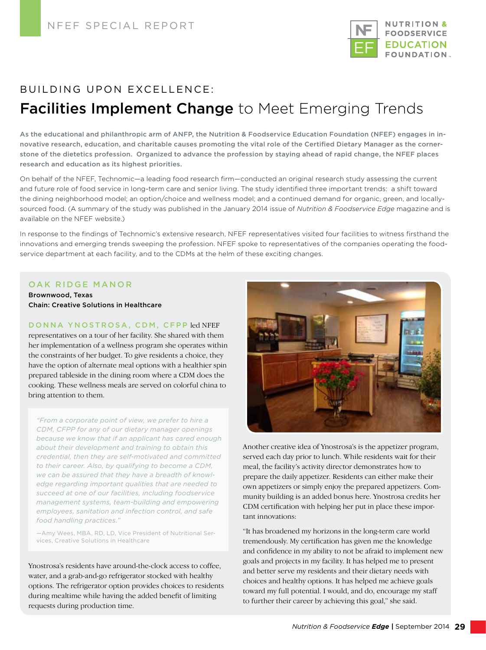

# BUILDING UPON EXCELLENCE: **Facilities Implement Change** to Meet Emerging Trends

As the educational and philanthropic arm of ANFP, the Nutrition & Foodservice Education Foundation (NFEF) engages in innovative research, education, and charitable causes promoting the vital role of the Certified Dietary Manager as the cornerstone of the dietetics profession. Organized to advance the profession by staying ahead of rapid change, the NFEF places research and education as its highest priorities.

On behalf of the NFEF, Technomic—a leading food research firm—conducted an original research study assessing the current and future role of food service in long-term care and senior living. The study identified three important trends: a shift toward the dining neighborhood model; an option/choice and wellness model; and a continued demand for organic, green, and locallysourced food. (A summary of the study was published in the January 2014 issue of *Nutrition & Foodservice Edge* magazine and is available on the NFEF website.)

In response to the findings of Technomic's extensive research, NFEF representatives visited four facilities to witness firsthand the innovations and emerging trends sweeping the profession. NFEF spoke to representatives of the companies operating the foodservice department at each facility, and to the CDMs at the helm of these exciting changes.

#### OAK RIDGE MANOR

Brownwood, Texas Chain: Creative Solutions in Healthcare

#### DONNA YNOSTROSA, CDM, CFPP led NFEF

representatives on a tour of her facility. She shared with them her implementation of a wellness program she operates within the constraints of her budget. To give residents a choice, they have the option of alternate meal options with a healthier spin prepared tableside in the dining room where a CDM does the cooking. These wellness meals are served on colorful china to bring attention to them.

*"From a corporate point of view, we prefer to hire a CDM, CFPP for any of our dietary manager openings because we know that if an applicant has cared enough about their development and training to obtain this credential, then they are self-motivated and committed to their career. Also, by qualifying to become a CDM, we can be assured that they have a breadth of knowledge regarding important qualities that are needed to succeed at one of our facilities, including foodservice management systems, team-building and empowering employees, sanitation and infection control, and safe food handling practices."* 

—Amy Wees, MBA, RD, LD, Vice President of Nutritional Services, Creative Solutions in Healthcare

Ynostrosa's residents have around-the-clock access to coffee, water, and a grab-and-go refrigerator stocked with healthy options. The refrigerator option provides choices to residents during mealtime while having the added benefit of limiting requests during production time.



Another creative idea of Ynostrosa's is the appetizer program, served each day prior to lunch. While residents wait for their meal, the facility's activity director demonstrates how to prepare the daily appetizer. Residents can either make their own appetizers or simply enjoy the prepared appetizers. Community building is an added bonus here. Ynostrosa credits her CDM certification with helping her put in place these important innovations:

"It has broadened my horizons in the long-term care world tremendously. My certification has given me the knowledge and confidence in my ability to not be afraid to implement new goals and projects in my facility. It has helped me to present and better serve my residents and their dietary needs with choices and healthy options. It has helped me achieve goals toward my full potential. I would, and do, encourage my staff to further their career by achieving this goal," she said.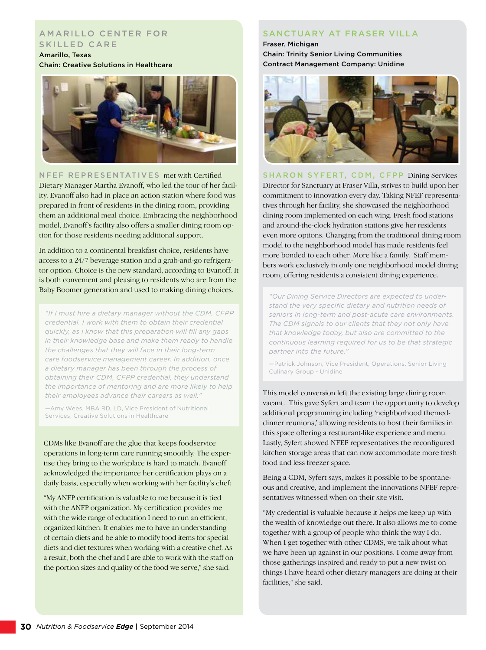#### A M A RILLO CENTER FOR SKILLED CARE

Amarillo, Texas Chain: Creative Solutions in Healthcare



NFEF REPRESENTATIVES met with Certified Dietary Manager Martha Evanoff, who led the tour of her facility. Evanoff also had in place an action station where food was prepared in front of residents in the dining room, providing them an additional meal choice. Embracing the neighborhood model, Evanoff's facility also offers a smaller dining room option for those residents needing additional support.

In addition to a continental breakfast choice, residents have access to a 24/7 beverage station and a grab-and-go refrigerator option. Choice is the new standard, according to Evanoff. It is both convenient and pleasing to residents who are from the Baby Boomer generation and used to making dining choices.

*"If I must hire a dietary manager without the CDM, CFPP credential. I work with them to obtain their credential quickly, as I know that this preparation will fill any gaps in their knowledge base and make them ready to handle the challenges that they will face in their long-term care foodservice management career. In addition, once a dietary manager has been through the process of obtaining their CDM, CFPP credential, they understand the importance of mentoring and are more likely to help their employees advance their careers as well."* 

—Amy Wees, MBA RD, LD, Vice President of Nutritional Services, Creative Solutions in Healthcare

CDMs like Evanoff are the glue that keeps foodservice operations in long-term care running smoothly. The expertise they bring to the workplace is hard to match. Evanoff acknowledged the importance her certification plays on a daily basis, especially when working with her facility's chef:

"My ANFP certification is valuable to me because it is tied with the ANFP organization. My certification provides me with the wide range of education I need to run an efficient, organized kitchen. It enables me to have an understanding of certain diets and be able to modify food items for special diets and diet textures when working with a creative chef. As a result, both the chef and I are able to work with the staff on the portion sizes and quality of the food we serve," she said.

### SANCTUARY AT FRASER VILLA

Fraser, Michigan Chain: Trinity Senior Living Communities Contract Management Company: Unidine



SHARON SYFERT, CDM, CFPP Dining Services Director for Sanctuary at Fraser Villa, strives to build upon her commitment to innovation every day. Taking NFEF representatives through her facility, she showcased the neighborhood dining room implemented on each wing. Fresh food stations and around-the-clock hydration stations give her residents even more options. Changing from the traditional dining room model to the neighborhood model has made residents feel more bonded to each other. More like a family. Staff members work exclusively in only one neighborhood model dining room, offering residents a consistent dining experience.

*"Our Dining Service Directors are expected to understand the very specific dietary and nutrition needs of seniors in long-term and post-acute care environments. The CDM signals to our clients that they not only have that knowledge today, but also are committed to the continuous learning required for us to be that strategic partner into the future."* 

—Patrick Johnson, Vice President, Operations, Senior Living Culinary Group - Unidine

This model conversion left the existing large dining room vacant. This gave Syfert and team the opportunity to develop additional programming including 'neighborhood themeddinner reunions,' allowing residents to host their families in this space offering a restaurant-like experience and menu. Lastly, Syfert showed NFEF representatives the reconfigured kitchen storage areas that can now accommodate more fresh food and less freezer space.

Being a CDM, Syfert says, makes it possible to be spontaneous and creative, and implement the innovations NFEF representatives witnessed when on their site visit.

"My credential is valuable because it helps me keep up with the wealth of knowledge out there. It also allows me to come together with a group of people who think the way I do. When I get together with other CDMS, we talk about what we have been up against in our positions. I come away from those gatherings inspired and ready to put a new twist on things I have heard other dietary managers are doing at their facilities," she said.